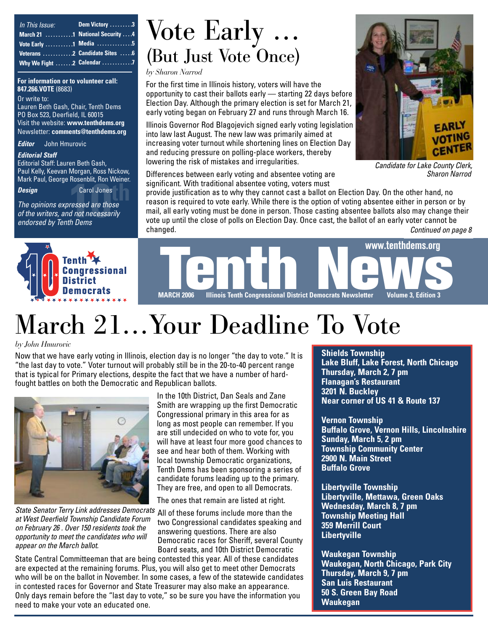| In This Issue:            | Dem Victory 3 |
|---------------------------|---------------|
|                           |               |
| Vote Early 1 Media 5      |               |
|                           |               |
| Why We Fight 2 Calendar 7 |               |

**For information or to volunteer call: 847.266.VOTE** (8683)

Or write to: Lauren Beth Gash, Chair, Tenth Dems PO Box 523, Deerfield, IL 60015 Visit the website: **www.tenthdems.org**  Newsletter: **comments@tenthdems.org**

*Editor* John Hmurovic

#### *Editorial Staff*

Editorial Staff: Lauren Beth Gash, Paul Kelly, Keevan Morgan, Ross Nickow, Mark Paul, George Rosenblit, Ron Weiner.

*Design* Carol Jones

**10therefox 10th**<br>Carol Jones<br>*10theressed are those*<br>*10theressarily*<br>*10th Dems The opinions expressed are those of the writers, and not necessarily endorsed by Tenth Dems*

### Vote Early … (But Just Vote Once)

*by Sharon Narrod*

For the first time in Illinois history, voters will have the opportunity to cast their ballots early — starting 22 days before Election Day. Although the primary election is set for March 21, early voting began on February 27 and runs through March 16.

Illinois Governor Rod Blagojevich signed early voting legislation into law last August. The new law was primarily aimed at increasing voter turnout while shortening lines on Election Day and reducing pressure on polling-place workers, thereby lowering the risk of mistakes and irregularities.

Differences between early voting and absentee voting are significant. With traditional absentee voting, voters must

provide justification as to why they cannot cast a ballot on Election Day. On the other hand, no reason is required to vote early. While there is the option of voting absentee either in person or by mail, all early voting must be done in person. Those casting absentee ballots also may change their vote up until the close of polls on Election Day. Once cast, the ballot of an early voter cannot be changed. *Continued on page 8*





# March 21…Your Deadline To Vote

*by John Hmurovic*

Now that we have early voting in Illinois, election day is no longer "the day to vote." It is "the last day to vote." Voter turnout will probably still be in the 20-to-40 percent range that is typical for Primary elections, despite the fact that we have a number of hardfought battles on both the Democratic and Republican ballots.



State Senator Terry Link addresses Democrats All of these forums include more than the *at West Deerfield Township Candidate Forum on February 26 . Over 150 residents took the opportunity to meet the candidates who will appear on the March ballot.*

In the 10th District, Dan Seals and Zane Smith are wrapping up the first Democratic Congressional primary in this area for as long as most people can remember. If you are still undecided on who to vote for, you will have at least four more good chances to see and hear both of them. Working with local township Democratic organizations, Tenth Dems has been sponsoring a series of candidate forums leading up to the primary. They are free, and open to all Democrats.

The ones that remain are listed at right.

two Congressional candidates speaking and answering questions. There are also Democratic races for Sheriff, several County Board seats, and 10th District Democratic

State Central Committeeman that are being contested this year. All of these candidates are expected at the remaining forums. Plus, you will also get to meet other Democrats who will be on the ballot in November. In some cases, a few of the statewide candidates in contested races for Governor and State Treasurer may also make an appearance. Only days remain before the "last day to vote," so be sure you have the information you need to make your vote an educated one.

#### **Shields Township**

**Lake Bluff, Lake Forest, North Chicago Thursday, March 2, 7 pm Flanagan's Restaurant 3201 N. Buckley Near corner of US 41 & Route 137**

**Vernon Township Buffalo Grove, Vernon Hills, Lincolnshire Sunday, March 5, 2 pm Township Community Center 2900 N. Main Street Buffalo Grove**

**Libertyville Township Libertyville, Mettawa, Green Oaks Wednesday, March 8, 7 pm Township Meeting Hall 359 Merrill Court Libertyville**

**Waukegan Township Waukegan, North Chicago, Park City Thursday, March 9, 7 pm San Luis Restaurant 50 S. Green Bay Road Waukegan**



*Candidate for Lake County Clerk, Sharon Narrod*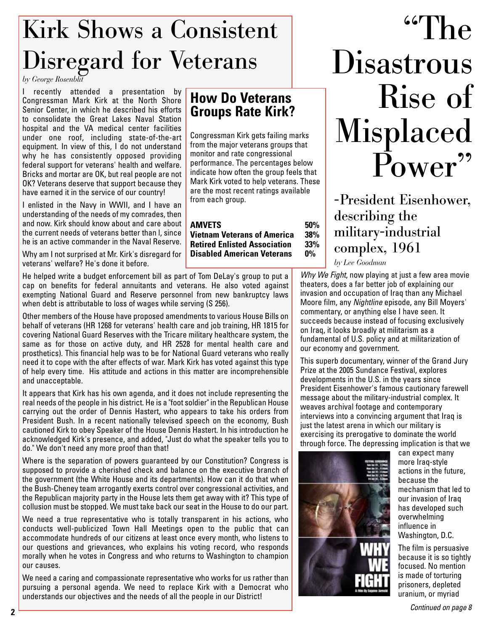## Kirk Shows a Consistent Disregard for Veterans

*by George Rosenblit*

I recently attended a presentation by Congressman Mark Kirk at the North Shore Senior Center, in which he described his efforts to consolidate the Great Lakes Naval Station hospital and the VA medical center facilities under one roof, including state-of-the-art equipment. In view of this, I do not understand why he has consistently opposed providing federal support for veterans' health and welfare. Bricks and mortar are OK, but real people are not OK? Veterans deserve that support because they have earned it in the service of our country!

I enlisted in the Navy in WWII, and I have an understanding of the needs of my comrades, then and now. Kirk should know about and care about the current needs of veterans better than l, since he is an active commander in the Naval Reserve.

Why am I not surprised at Mr. Kirk's disregard for veterans' welfare? He's done it before.

He helped write a budget enforcement bill as part of Tom DeLay's group to put a cap on benefits for federal annuitants and veterans. He also voted against exempting National Guard and Reserve personnel from new bankruptcy laws when debt is attributable to loss of wages while serving (S 256).

Other members of the House have proposed amendments to various House Bills on behalf of veterans (HR 1268 for veterans' health care and job training, HR 1815 for covering National Guard Reserves with the Tricare military healthcare system, the same as for those on active duty, and HR 2528 for mental health care and prosthetics). This financial help was to be for National Guard veterans who really need it to cope with the after effects of war. Mark Kirk has voted against this type of help every time. His attitude and actions in this matter are incomprehensible and unacceptable.

It appears that Kirk has his own agenda, and it does not include representing the real needs of the people in his district. He is a "foot soldier" in the Republican House carrying out the order of Dennis Hastert, who appears to take his orders from President Bush. In a recent nationally televised speech on the economy, Bush cautioned Kirk to obey Speaker of the House Dennis Hastert. In his introduction he acknowledged Kirk's presence, and added, "Just do what the speaker tells you to do." We don't need any more proof than that!

Where is the separation of powers guaranteed by our Constitution? Congress is supposed to provide a cherished check and balance on the executive branch of the government (the White House and its departments). How can it do that when the Bush-Cheney team arrogantly exerts control over congressional activities, and the Republican majority party in the House lets them get away with it? This type of collusion must be stopped. We must take back our seat in the House to do our part.

We need a true representative who is totally transparent in his actions, who conducts well-publicized Town Hall Meetings open to the public that can accommodate hundreds of our citizens at least once every month, who listens to our questions and grievances, who explains his voting record, who responds morally when he votes in Congress and who returns to Washington to champion our causes.

We need a caring and compassionate representative who works for us rather than pursuing a personal agenda. We need to replace Kirk with a Democrat who understands our objectives and the needs of all the people in our District!

### **How Do Veterans Groups Rate Kirk?**

Congressman Kirk gets failing marks from the major veterans groups that monitor and rate congressional performance. The percentages below indicate how often the group feels that Mark Kirk voted to help veterans. These are the most recent ratings available from each group.

#### **AMVETS** 50%<br>Vietnam Veterans of America 38% **Vietnam Veterans of America 38% Retired Enlisted Association 33% Disabled American Veterans**

 $\frac{667}{h}$ **Disastrous** Rise of Misplaced Power

-President Eisenhower, describing the military-industrial complex, 1961

*by Lee Goodman*

*Why We Fight*, now playing at just a few area movie theaters, does a far better job of explaining our invasion and occupation of Iraq than any Michael Moore film, any *Nightline* episode, any Bill Moyers' commentary, or anything else I have seen. It succeeds because instead of focusing exclusively on Iraq, it looks broadly at militarism as a fundamental of U.S. policy and at militarization of our economy and government.

This superb documentary, winner of the Grand Jury Prize at the 2005 Sundance Festival, explores developments in the U.S. in the years since President Eisenhower's famous cautionary farewell message about the military-industrial complex. It weaves archival footage and contemporary interviews into a convincing argument that Iraq is just the latest arena in which our military is exercising its prerogative to dominate the world through force. The depressing implication is that we



can expect many more Iraq-style actions in the future, because the mechanism that led to our invasion of Iraq has developed such overwhelming influence in Washington, D.C.

The film is persuasive because it is so tightly focused. No mention is made of torturing prisoners, depleted uranium, or myriad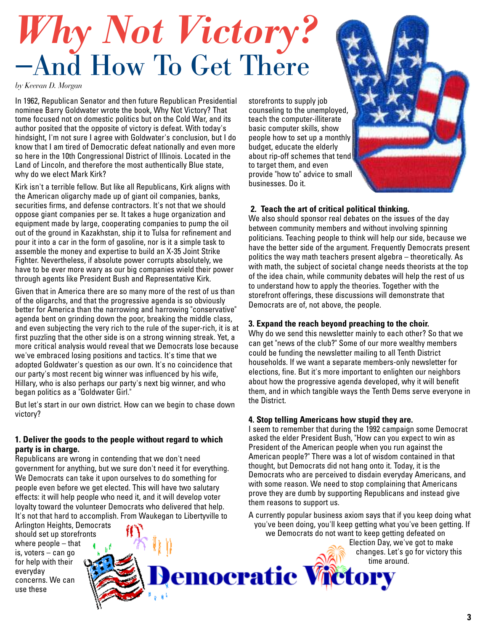# *Why Not Victory?* —And How To Get There

*by Keevan D. Morgan*

In 1962, Republican Senator and then future Republican Presidential nominee Barry Goldwater wrote the book, Why Not Victory? That tome focused not on domestic politics but on the Cold War, and its author posited that the opposite of victory is defeat. With today's hindsight, I'm not sure I agree with Goldwater's conclusion, but I do know that I am tired of Democratic defeat nationally and even more so here in the 10th Congressional District of Illinois. Located in the Land of Lincoln, and therefore the most authentically Blue state, why do we elect Mark Kirk?

Kirk isn't a terrible fellow. But like all Republicans, Kirk aligns with the American oligarchy made up of giant oil companies, banks, securities firms, and defense contractors. It's not that we should oppose giant companies per se. It takes a huge organization and equipment made by large, cooperating companies to pump the oil out of the ground in Kazakhstan, ship it to Tulsa for refinement and pour it into a car in the form of gasoline, nor is it a simple task to assemble the money and expertise to build an X-35 Joint Strike Fighter. Nevertheless, if absolute power corrupts absolutely, we have to be ever more wary as our big companies wield their power through agents like President Bush and Representative Kirk.

Given that in America there are so many more of the rest of us than of the oligarchs, and that the progressive agenda is so obviously better for America than the narrowing and harrowing "conservative" agenda bent on grinding down the poor, breaking the middle class, and even subjecting the very rich to the rule of the super-rich, it is at first puzzling that the other side is on a strong winning streak. Yet, a more critical analysis would reveal that we Democrats lose because we've embraced losing positions and tactics. It's time that we adopted Goldwater's question as our own. It's no coincidence that our party's most recent big winner was influenced by his wife, Hillary, who is also perhaps our party's next big winner, and who began politics as a "Goldwater Girl."

But let's start in our own district. How can we begin to chase down victory?

#### **1. Deliver the goods to the people without regard to which party is in charge.**

Republicans are wrong in contending that we don't need government for anything, but we sure don't need it for everything. We Democrats can take it upon ourselves to do something for people even before we get elected. This will have two salutary effects: it will help people who need it, and it will develop voter loyalty toward the volunteer Democrats who delivered that help. It's not that hard to accomplish. From Waukegan to Libertyville to

Arlington Heights, Democrats should set up storefronts where people – that is, voters – can go for help with their everyday concerns. We can use these

storefronts to supply job counseling to the unemployed, teach the computer-illiterate basic computer skills, show people how to set up a monthly budget, educate the elderly about rip-off schemes that tend to target them, and even provide "how to" advice to small businesses. Do it.

#### **2. Teach the art of critical political thinking.**

We also should sponsor real debates on the issues of the day between community members and without involving spinning politicians. Teaching people to think will help our side, because we have the better side of the argument. Frequently Democrats present politics the way math teachers present algebra – theoretically. As with math, the subject of societal change needs theorists at the top of the idea chain, while community debates will help the rest of us to understand how to apply the theories. Together with the storefront offerings, these discussions will demonstrate that Democrats are of, not above, the people.

#### **3. Expand the reach beyond preaching to the choir.**

Why do we send this newsletter mainly to each other? So that we can get "news of the club?" Some of our more wealthy members could be funding the newsletter mailing to all Tenth District households. If we want a separate members-only newsletter for elections, fine. But it's more important to enlighten our neighbors about how the progressive agenda developed, why it will benefit them, and in which tangible ways the Tenth Dems serve everyone in the District.

#### **4. Stop telling Americans how stupid they are.**

I seem to remember that during the 1992 campaign some Democrat asked the elder President Bush, "How can you expect to win as President of the American people when you run against the American people?" There was a lot of wisdom contained in that thought, but Democrats did not hang onto it. Today, it is the Democrats who are perceived to disdain everyday Americans, and with some reason. We need to stop complaining that Americans prove they are dumb by supporting Republicans and instead give them reasons to support us.

A currently popular business axiom says that if you keep doing what you've been doing, you'll keep getting what you've been getting. If we Democrats do not want to keep getting defeated on Election Day, we've got to make changes. Let's go for victory this

**emocratic Victory**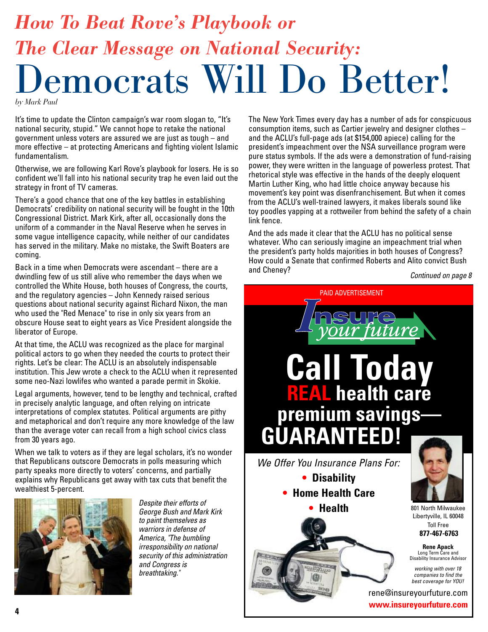# *How To Beat Rove's Playbook or The Clear Message on National Security:*  emocrats Will Do Better!

*by Mark Paul*

It's time to update the Clinton campaign's war room slogan to, "It's national security, stupid." We cannot hope to retake the national government unless voters are assured we are just as tough – and more effective – at protecting Americans and fighting violent Islamic fundamentalism.

Otherwise, we are following Karl Rove's playbook for losers. He is so confident we'll fall into his national security trap he even laid out the strategy in front of TV cameras.

There's a good chance that one of the key battles in establishing Democrats' credibility on national security will be fought in the 10th Congressional District. Mark Kirk, after all, occasionally dons the uniform of a commander in the Naval Reserve when he serves in some vague intelligence capacity, while neither of our candidates has served in the military. Make no mistake, the Swift Boaters are coming.

Back in a time when Democrats were ascendant – there are a dwindling few of us still alive who remember the days when we controlled the White House, both houses of Congress, the courts, and the regulatory agencies – John Kennedy raised serious questions about national security against Richard Nixon, the man who used the "Red Menace" to rise in only six years from an obscure House seat to eight years as Vice President alongside the liberator of Europe.

At that time, the ACLU was recognized as the place for marginal political actors to go when they needed the courts to protect their rights. Let's be clear: The ACLU is an absolutely indispensable institution. This Jew wrote a check to the ACLU when it represented some neo-Nazi lowlifes who wanted a parade permit in Skokie.

Legal arguments, however, tend to be lengthy and technical, crafted in precisely analytic language, and often relying on intricate interpretations of complex statutes. Political arguments are pithy and metaphorical and don't require any more knowledge of the law than the average voter can recall from a high school civics class from 30 years ago.

When we talk to voters as if they are legal scholars, it's no wonder that Republicans outscore Democrats in polls measuring which party speaks more directly to voters' concerns, and partially explains why Republicans get away with tax cuts that benefit the wealthiest 5-percent.



*Despite their efforts of George Bush and Mark Kirk to paint themselves as warriors in defense of America, "The bumbling irresponsibility on national security of this administration and Congress is breathtaking."*

The New York Times every day has a number of ads for conspicuous consumption items, such as Cartier jewelry and designer clothes – and the ACLU's full-page ads (at \$154,000 apiece) calling for the president's impeachment over the NSA surveillance program were pure status symbols. If the ads were a demonstration of fund-raising power, they were written in the language of powerless protest. That rhetorical style was effective in the hands of the deeply eloquent Martin Luther King, who had little choice anyway because his movement's key point was disenfranchisement. But when it comes from the ACLU's well-trained lawyers, it makes liberals sound like toy poodles yapping at a rottweiler from behind the safety of a chain link fence.

And the ads made it clear that the ACLU has no political sense whatever. Who can seriously imagine an impeachment trial when the president's party holds majorities in both houses of Congress? How could a Senate that confirmed Roberts and Alito convict Bush and Cheney?

*Continued on page 8*

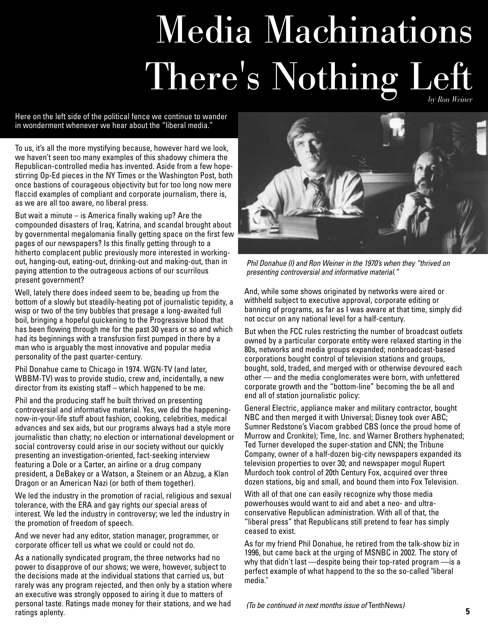# Media Machinations There's Nothing Left

Here on the left side of the political fence we continue to wander in wonderment whenever we hear about the "liberal media."

To us, it's all the more mystifying because, however hard we look, we haven't seen too many examples of this shadowy chimera the Republican-controlled media has invented. Aside from a few hopestirring Op-Ed pieces in the NY Times or the Washington Post, both once bastions of courageous objectivity but for too long now mere flaccid examples of compliant and corporate journalism, there is, as we are all too aware, no liberal press.

But wait a minute  $-$  is America finally waking up? Are the compounded disasters of Iraq, Katrina, and scandal brought about by governmental megalomania finally getting space on the first few pages of our newspapers? Is this finally getting through to a hitherto complacent public previously more interested in workingout, hanging-out, eating-out, drinking-out and making-out, than in paying attention to the outrageous actions of our scurrilous present government?

Well, lately there does indeed seem to be, beading up from the bottom of a slowly but steadily-heating pot of journalistic tepidity, a wisp or two of the tiny bubbles that presage a long-awaited full boil, bringing a hopeful quickening to the Progressive blood that has been flowing through me for the past 30 years or so and which had its beginnings with a transfusion first pumped in there by a man who is arguably the most innovative and popular media personality of the past quarter-century.

Phil Donahue came to Chicago in 1974. WGN-TV (and later, WBBM-TV) was to provide studio, crew and, incidentally, a new director from its existing staff – which happened to be me.

Phil and the producing staff he built thrived on presenting controversial and informative material. Yes, we did the happeningnow-in-your-life stuff about fashion, cooking, celebrities, medical advances and sex aids, but our programs always had a style more journalistic than chatty; no election or international development or social controversy could arise in our society without our quickly presenting an investigation-oriented, fact-seeking interview featuring a Dole or a Carter, an airline or a drug company president, a DeBakey or a Watson, a Steinem or an Abzug, a Klan Dragon or an American Nazi (or both of them together).

We led the industry in the promotion of racial, religious and sexual tolerance, with the ERA and gay rights our special areas of interest. We led the industry in controversy; we led the industry in the promotion of freedom of speech.

And we never had any editor, station manager, programmer, or corporate officer tell us what we could or could not do.

As a nationally syndicated program, the three networks had no power to disapprove of our shows; we were, however, subject to the decisions made at the individual stations that carried us, but rarely was any program rejected, and then only by a station where an executive was strongly opposed to airing it due to matters of personal taste. Ratings made money for their stations, and we had ratings aplenty.



*Phil Donahue (l) and Ron Weiner in the 1970's when they "thrived on presenting controversial and informative material."*

And, while some shows originated by networks were aired or withheld subject to executive approval, corporate editing or banning of programs, as far as I was aware at that time, simply did not occur on any national level for a half-century.

But when the FCC rules restricting the number of broadcast outlets owned by a particular corporate entity were relaxed starting in the 80s, networks and media groups expanded; nonbroadcast-based corporations bought control of television stations and groups, bought, sold, traded, and merged with or otherwise devoured each other — and the media conglomerates were born, with unfettered corporate growth and the "bottom-line" becoming the be all and end all of station journalistic policy:

General Electric, appliance maker and military contractor, bought NBC and then merged it with Universal; Disney took over ABC; Sumner Redstone's Viacom grabbed CBS (once the proud home of Murrow and Cronkite); Time, Inc. and Warner Brothers hyphenated; Ted Turner developed the super-station and CNN; the Tribune Company, owner of a half-dozen big-city newspapers expanded its television properties to over 30; and newspaper mogul Rupert Murdoch took control of 20th Century Fox, acquired over three dozen stations, big and small, and bound them into Fox Television.

With all of that one can easily recognize why those media powerhouses would want to aid and abet a neo- and ultraconservative Republican administration. With all of that, the "liberal press" that Republicans still pretend to fear has simply ceased to exist.

As for my friend Phil Donahue, he retired from the talk-show biz in 1996, but came back at the urging of MSNBC in 2002. The story of why that didn't last —despite being their top-rated program —is a perfect example of what happend to the so the so-called "liberal media."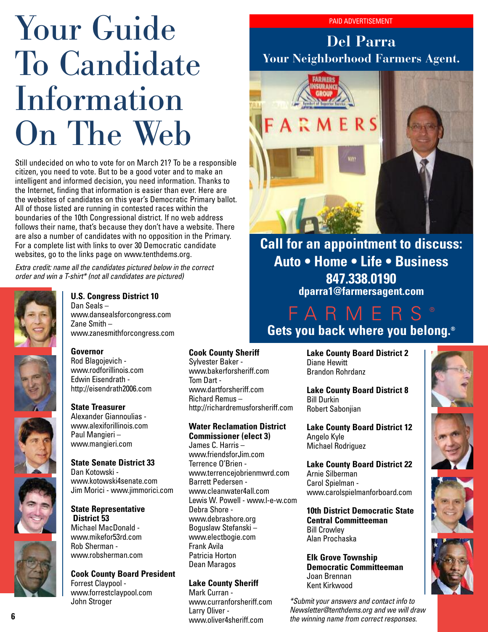# Your Guide To Candidate Information On The Web

Still undecided on who to vote for on March 21? To be a responsible citizen, you need to vote. But to be a good voter and to make an intelligent and informed decision, you need information. Thanks to the Internet, finding that information is easier than ever. Here are the websites of candidates on this year's Democratic Primary ballot. All of those listed are running in contested races within the boundaries of the 10th Congressional district. If no web address follows their name, that's because they don't have a website. There are also a number of candidates with no opposition in the Primary. For a complete list with links to over 30 Democratic candidate websites, go to the links page on www.tenthdems.org.

*Extra credit: name all the candidates pictured below in the correct order and win a T-shirt\* (not all candidates are pictured)*



#### **U.S. Congress District 10**

Dan Seals – www.dansealsforcongress.com Zane Smith – www.zanesmithforcongress.com

#### **Governor**

Rod Blagojevich www.rodforillinois.com Edwin Eisendrath http://eisendrath2006.com

#### **State Treasurer**

Alexander Giannoulias www.alexiforillinois.com Paul Mangieri – www.mangieri.com

#### **State Senate District 33**

Dan Kotowski www.kotowski4senate.com Jim Morici - www.jimmorici.com

#### **State Representative District 53**

Michael MacDonald www.mikefor53rd.com Rob Sherman www.robsherman.com

#### **Cook County Board President**

Forrest Claypool www.forrestclaypool.com John Stroger

#### **Cook County Sheriff**

Sylvester Baker www.bakerforsheriff.com Tom Dart www.dartforsheriff.com Richard Remus – http://richardremusforsheriff.com

#### **Water Reclamation District Commissioner (elect 3)**

James C. Harris – www.friendsfor.Jim.com Terrence O'Brien www.terrencejobrienmwrd.com Barrett Pedersen www.cleanwater4all.com Lewis W. Powell - www.l-e-w.com Debra Shore www.debrashore.org Boguslaw Stefanski – www.electbogie.com Frank Avila Patricia Horton Dean Maragos

#### **Lake County Sheriff**

Mark Curran www.curranforsheriff.com Larry Oliver www.oliver4sheriff.com

#### PAID ADVERTISEMENT

### **Del Parra Your Neighborhood Farmers Agent.**



### **Call for an appointment to discuss: Auto • Home • Life • Business 847.338.0190 dparra1@farmersagent.com**

### FARM **Gets you back where you belong.®**

**Lake County Board District 2** Diane Hewitt Brandon Rohrdanz

**Lake County Board District 8** Bill Durkin Robert Sabonjian

**Lake County Board District 12** Angelo Kyle Michael Rodriguez

**Lake County Board District 22** Arnie Silberman Carol Spielman www.carolspielmanforboard.com

**10th District Democratic State Central Committeeman** Bill Crowley Alan Prochaska

**Elk Grove Township Democratic Committeeman** Joan Brennan Kent Kirkwood

*\*Submit your answers and contact info to Newsletter@tenthdems.org and we will draw the winning name from correct responses.*







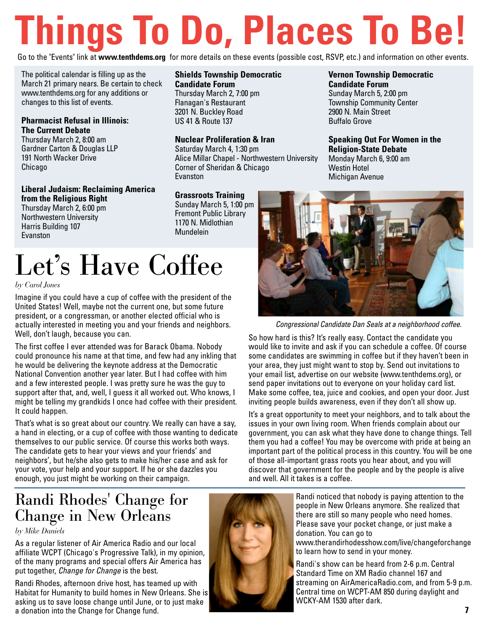# **Things To Do, Places To Be!**

Go to the "Events" link at **www.tenthdems.org** for more details on these events (possible cost, RSVP, etc.) and information on other events.

The political calendar is filling up as the March 21 primary nears. Be certain to check www.tenthdems.org for any additions or changes to this list of events.

**Pharmacist Refusal in Illinois: The Current Debate** 

Thursday March 2, 8:00 am Gardner Carton & Douglas LLP 191 North Wacker Drive Chicago

**Liberal Judaism: Reclaiming America from the Religious Right** 

Thursday March 2, 6:00 pm Northwestern University Harris Building 107 Evanston

#### **Shields Township Democratic Candidate Forum**  Thursday March 2, 7:00 pm

Flanagan's Restaurant 3201 N. Buckley Road US 41 & Route 137

#### **Nuclear Proliferation & Iran**

Saturday March 4, 1:30 pm Alice Millar Chapel - Northwestern University Corner of Sheridan & Chicago Evanston

#### **Grassroots Training**

Sunday March 5, 1:00 pm Fremont Public Library 1170 N. Midlothian Mundelein

# Let's Have Coffee

*by Carol Jones*

Imagine if you could have a cup of coffee with the president of the United States! Well, maybe not the current one, but some future president, or a congressman, or another elected official who is actually interested in meeting you and your friends and neighbors. Well, don't laugh, because you can.

The first coffee I ever attended was for Barack Obama. Nobody could pronounce his name at that time, and few had any inkling that he would be delivering the keynote address at the Democratic National Convention another year later. But I had coffee with him and a few interested people. I was pretty sure he was the guy to support after that, and, well, I guess it all worked out. Who knows, I might be telling my grandkids I once had coffee with their president. It could happen.

That's what is so great about our country. We really can have a say, a hand in electing, or a cup of coffee with those wanting to dedicate themselves to our public service. Of course this works both ways. The candidate gets to hear your views and your friends' and neighbors', but he/she also gets to make his/her case and ask for your vote, your help and your support. If he or she dazzles you enough, you just might be working on their campaign.

### Randi Rhodes' Change for Change in New Orleans

*by Mike Daniels*

As a regular listener of Air America Radio and our local affiliate WCPT (Chicago's Progressive Talk), in my opinion, of the many programs and special offers Air America has put together, *Change for Change* is the best.

Randi Rhodes, afternoon drive host, has teamed up with Habitat for Humanity to build homes in New Orleans. She is asking us to save loose change until June, or to just make a donation into the Change for Change fund.



#### **Vernon Township Democratic Candidate Forum**

Sunday March 5, 2:00 pm Township Community Center 2900 N. Main Street Buffalo Grove

**Speaking Out For Women in the Religion-State Debate**  Monday March 6, 9:00 am Westin Hotel Michigan Avenue



*Congressional Candidate Dan Seals at a neighborhood coffee.*

So how hard is this? It's really easy. Contact the candidate you would like to invite and ask if you can schedule a coffee. Of course some candidates are swimming in coffee but if they haven't been in your area, they just might want to stop by. Send out invitations to your email list, advertise on our website (www.tenthdems.org), or send paper invitations out to everyone on your holiday card list. Make some coffee, tea, juice and cookies, and open your door. Just inviting people builds awareness, even if they don't all show up.

It's a great opportunity to meet your neighbors, and to talk about the issues in your own living room. When friends complain about our government, you can ask what they have done to change things. Tell them you had a coffee! You may be overcome with pride at being an important part of the political process in this country. You will be one of those all-important grass roots you hear about, and you will discover that government for the people and by the people is alive and well. All it takes is a coffee.

> Randi noticed that nobody is paying attention to the people in New Orleans anymore. She realized that there are still so many people who need homes. Please save your pocket change, or just make a donation. You can go to www.therandirhodesshow.com/live/changeforchange to learn how to send in your money.

Randi's show can be heard from 2-6 p.m. Central Standard Time on XM Radio channel 167 and streaming on AirAmericaRadio.com, and from 5-9 p.m. Central time on WCPT-AM 850 during daylight and WCKY-AM 1530 after dark.